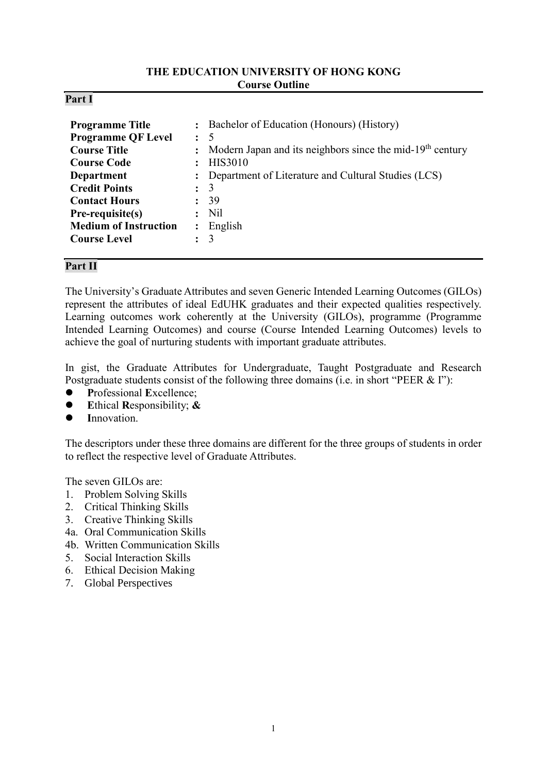#### **THE EDUCATION UNIVERSITY OF HONG KONG Course Outline**

| Part |  |
|------|--|
|------|--|

| <b>Programme Title</b><br><b>Programme QF Level</b><br><b>Course Title</b><br><b>Course Code</b><br><b>Department</b><br><b>Credit Points</b><br><b>Contact Hours</b><br>Pre-requisite(s)<br><b>Medium of Instruction</b> | $\ddot{\cdot}$<br>$\mathbf{L}$ | : Bachelor of Education (Honours) (History)<br>$\colon$ 5<br>: Modern Japan and its neighbors since the mid-19 <sup>th</sup> century<br><b>HIS3010</b><br>: Department of Literature and Cultural Studies (LCS)<br>$\colon$ 3<br>39<br>$:$ Nil<br>English |
|---------------------------------------------------------------------------------------------------------------------------------------------------------------------------------------------------------------------------|--------------------------------|-----------------------------------------------------------------------------------------------------------------------------------------------------------------------------------------------------------------------------------------------------------|
| <b>Course Level</b>                                                                                                                                                                                                       |                                | 3                                                                                                                                                                                                                                                         |

## **Part II**

The University's Graduate Attributes and seven Generic Intended Learning Outcomes (GILOs) represent the attributes of ideal EdUHK graduates and their expected qualities respectively. Learning outcomes work coherently at the University (GILOs), programme (Programme Intended Learning Outcomes) and course (Course Intended Learning Outcomes) levels to achieve the goal of nurturing students with important graduate attributes.

In gist, the Graduate Attributes for Undergraduate, Taught Postgraduate and Research Postgraduate students consist of the following three domains (i.e. in short "PEER & I"):

- **P**rofessional **E**xcellence;
- **E**thical **R**esponsibility; **&**
- **I**nnovation.

The descriptors under these three domains are different for the three groups of students in order to reflect the respective level of Graduate Attributes.

The seven GILOs are:

- 1. Problem Solving Skills
- 2. Critical Thinking Skills
- 3. Creative Thinking Skills
- 4a. Oral Communication Skills
- 4b. Written Communication Skills
- 5. Social Interaction Skills
- 6. Ethical Decision Making
- 7. Global Perspectives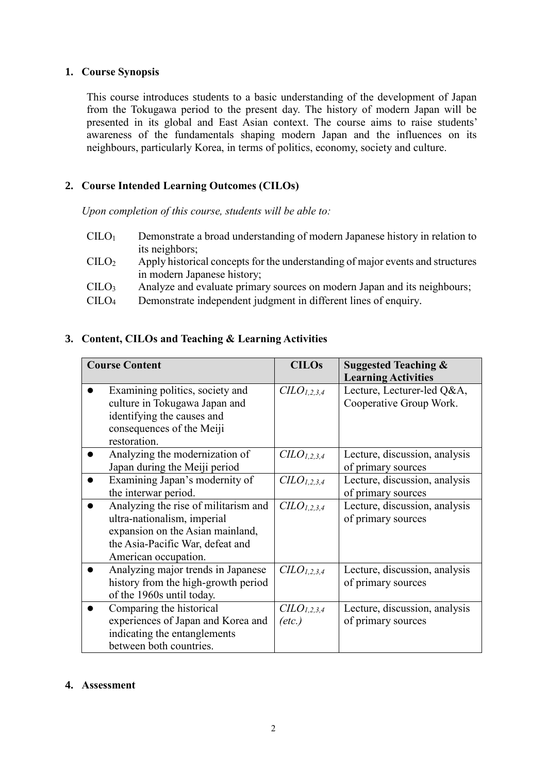### **1. Course Synopsis**

This course introduces students to a basic understanding of the development of Japan from the Tokugawa period to the present day. The history of modern Japan will be presented in its global and East Asian context. The course aims to raise students' awareness of the fundamentals shaping modern Japan and the influences on its neighbours, particularly Korea, in terms of politics, economy, society and culture.

# **2. Course Intended Learning Outcomes (CILOs)**

*Upon completion of this course, students will be able to:*

- $CILO<sub>1</sub>$  Demonstrate a broad understanding of modern Japanese history in relation to its neighbors;
- CILO<sup>2</sup> Apply historical concepts for the understanding of major events and structures in modern Japanese history;
- CILO<sup>3</sup> Analyze and evaluate primary sources on modern Japan and its neighbours;
- CILO<sup>4</sup> Demonstrate independent judgment in different lines of enquiry.

# **3. Content, CILOs and Teaching & Learning Activities**

| <b>Course Content</b>                | <b>CILOs</b>           | <b>Suggested Teaching &amp;</b> |  |
|--------------------------------------|------------------------|---------------------------------|--|
|                                      |                        | <b>Learning Activities</b>      |  |
| Examining politics, society and      | CLO <sub>1,2,3,4</sub> | Lecture, Lecturer-led Q&A,      |  |
| culture in Tokugawa Japan and        |                        | Cooperative Group Work.         |  |
| identifying the causes and           |                        |                                 |  |
| consequences of the Meiji            |                        |                                 |  |
| restoration.                         |                        |                                 |  |
| Analyzing the modernization of       | CLO <sub>1,2,3,4</sub> | Lecture, discussion, analysis   |  |
| Japan during the Meiji period        |                        | of primary sources              |  |
| Examining Japan's modernity of       | CLO <sub>1,2,3,4</sub> | Lecture, discussion, analysis   |  |
| the interwar period.                 |                        | of primary sources              |  |
| Analyzing the rise of militarism and | CLO <sub>1,2,3,4</sub> | Lecture, discussion, analysis   |  |
| ultra-nationalism, imperial          |                        | of primary sources              |  |
| expansion on the Asian mainland,     |                        |                                 |  |
| the Asia-Pacific War, defeat and     |                        |                                 |  |
| American occupation.                 |                        |                                 |  |
| Analyzing major trends in Japanese   | CLO <sub>1,2,3,4</sub> | Lecture, discussion, analysis   |  |
| history from the high-growth period  |                        | of primary sources              |  |
| of the 1960s until today.            |                        |                                 |  |
| Comparing the historical             | CLO <sub>1,2,3,4</sub> | Lecture, discussion, analysis   |  |
| experiences of Japan and Korea and   | $(\text{etc.})$        | of primary sources              |  |
| indicating the entanglements         |                        |                                 |  |
| between both countries.              |                        |                                 |  |

## **4. Assessment**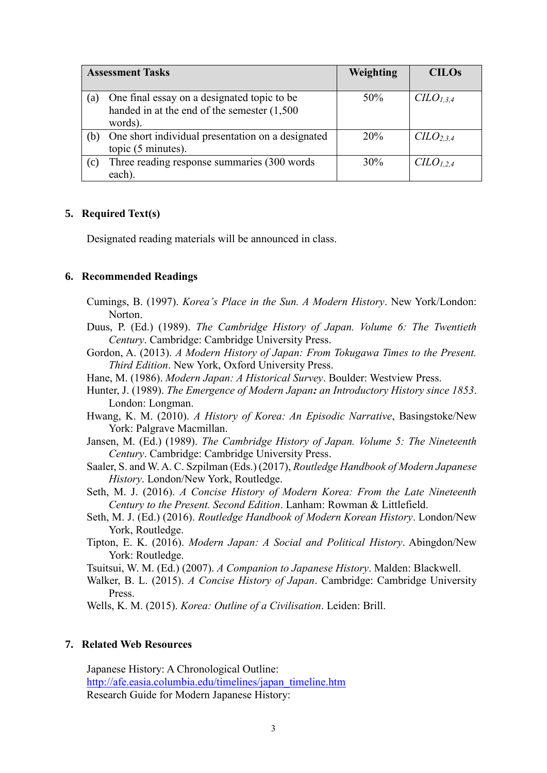|     | <b>Assessment Tasks</b>                           | Weighting | <b>CILOs</b>                      |
|-----|---------------------------------------------------|-----------|-----------------------------------|
|     |                                                   |           |                                   |
| (a) | One final essay on a designated topic to be       | 50%       | $C\ddot{L}O_{1,3,4}$              |
|     | handed in at the end of the semester (1,500       |           |                                   |
|     | words).                                           |           |                                   |
| (b) | One short individual presentation on a designated | 20%       | C <sub>L</sub> O <sub>2,3,4</sub> |
|     | topic (5 minutes).                                |           |                                   |
| (c) | Three reading response summaries (300 words)      | 30%       | CLO <sub>1,2,4</sub>              |
|     | each)                                             |           |                                   |

#### **5. Required Text(s)**

Designated reading materials will be announced in class.

#### **6. Recommended Readings**

- Cumings, B. (1997). *Korea's Place in the Sun. A Modern History*. New York/London: Norton.
- Duus, P. (Ed.) (1989). *The Cambridge History of Japan. Volume 6: The Twentieth Century*. Cambridge: Cambridge University Press.
- Gordon, A. (2013). *A Modern History of Japan: From Tokugawa Times to the Present. Third Edition*. New York, Oxford University Press.
- Hane, M. (1986). *Modern Japan: A Historical Survey*. Boulder: Westview Press.
- Hunter, J. (1989). *The Emergence of Modern Japan: an Introductory History since 1853*. London: Longman.
- Hwang, K. M. (2010). *A History of Korea: An Episodic Narrative*, Basingstoke/New York: Palgrave Macmillan.
- Jansen, M. (Ed.) (1989). *The Cambridge History of Japan. Volume 5: The Nineteenth Century*. Cambridge: Cambridge University Press.
- Saaler, S. and W. A. C. Szpilman (Eds.) (2017), *Routledge Handbook of Modern Japanese History*. London/New York, Routledge.
- Seth, M. J. (2016). *A Concise History of Modern Korea: From the Late Nineteenth Century to the Present. Second Edition*. Lanham: Rowman & Littlefield.
- Seth, M. J. (Ed.) (2016). *Routledge Handbook of Modern Korean History*. London/New York, Routledge.
- Tipton, E. K. (2016). *Modern Japan: A Social and Political History*. Abingdon/New York: Routledge.

Tsuitsui, W. M. (Ed.) (2007). *A Companion to Japanese History*. Malden: Blackwell.

Walker, B. L. (2015). *A Concise History of Japan*. Cambridge: Cambridge University Press.

Wells, K. M. (2015). *Korea: Outline of a Civilisation*. Leiden: Brill.

#### **7. Related Web Resources**

Japanese History: A Chronological Outline: [http://afe.easia.columbia.edu/timelines/japan\\_timeline.htm](http://afe.easia.columbia.edu/timelines/japan_timeline.htm) Research Guide for Modern Japanese History: